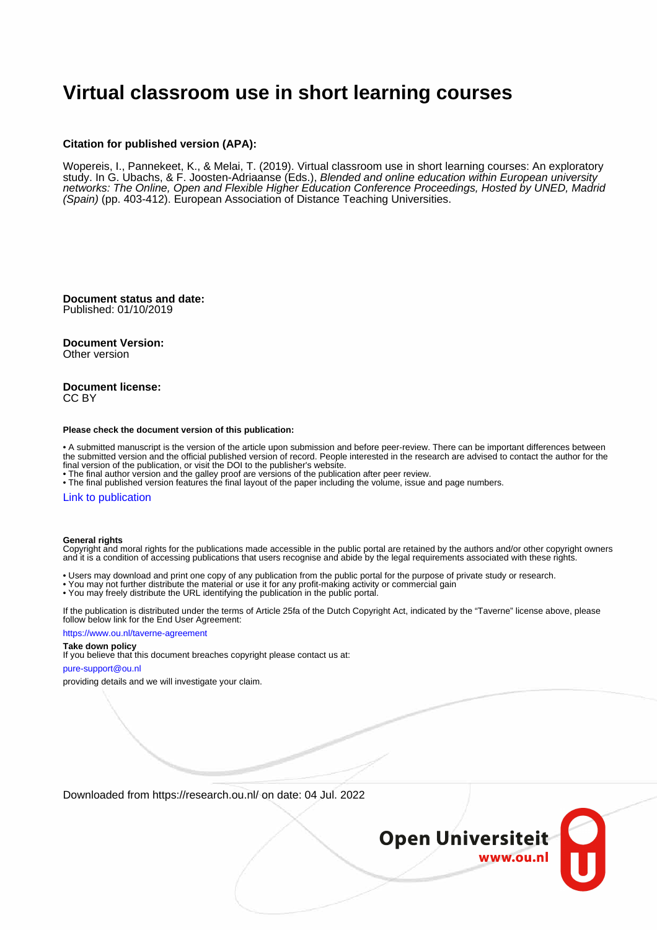# **Virtual classroom use in short learning courses**

#### **Citation for published version (APA):**

Wopereis, I., Pannekeet, K., & Melai, T. (2019). Virtual classroom use in short learning courses: An exploratory study. In G. Ubachs, & F. Joosten-Adriaanse (Eds.), Blended and online education within European university networks: The Online, Open and Flexible Higher Education Conference Proceedings, Hosted by UNED, Madrid (Spain) (pp. 403-412). European Association of Distance Teaching Universities.

**Document status and date:** Published: 01/10/2019

**Document Version:**

Other version

#### **Document license:** CC BY

#### **Please check the document version of this publication:**

• A submitted manuscript is the version of the article upon submission and before peer-review. There can be important differences between the submitted version and the official published version of record. People interested in the research are advised to contact the author for the final version of the publication, or visit the DOI to the publisher's website.

• The final author version and the galley proof are versions of the publication after peer review.

• The final published version features the final layout of the paper including the volume, issue and page numbers.

#### [Link to publication](https://research.ou.nl/en/publications/3af0f546-dcc5-416d-b8fc-560448e210a2)

#### **General rights**

Copyright and moral rights for the publications made accessible in the public portal are retained by the authors and/or other copyright owners and it is a condition of accessing publications that users recognise and abide by the legal requirements associated with these rights.

- Users may download and print one copy of any publication from the public portal for the purpose of private study or research.
- You may not further distribute the material or use it for any profit-making activity or commercial gain
- You may freely distribute the URL identifying the publication in the public portal.

If the publication is distributed under the terms of Article 25fa of the Dutch Copyright Act, indicated by the "Taverne" license above, please follow below link for the End User Agreement:

#### https://www.ou.nl/taverne-agreement

#### **Take down policy**

If you believe that this document breaches copyright please contact us at:

#### pure-support@ou.nl

providing details and we will investigate your claim.

Downloaded from https://research.ou.nl/ on date: 04 Jul. 2022

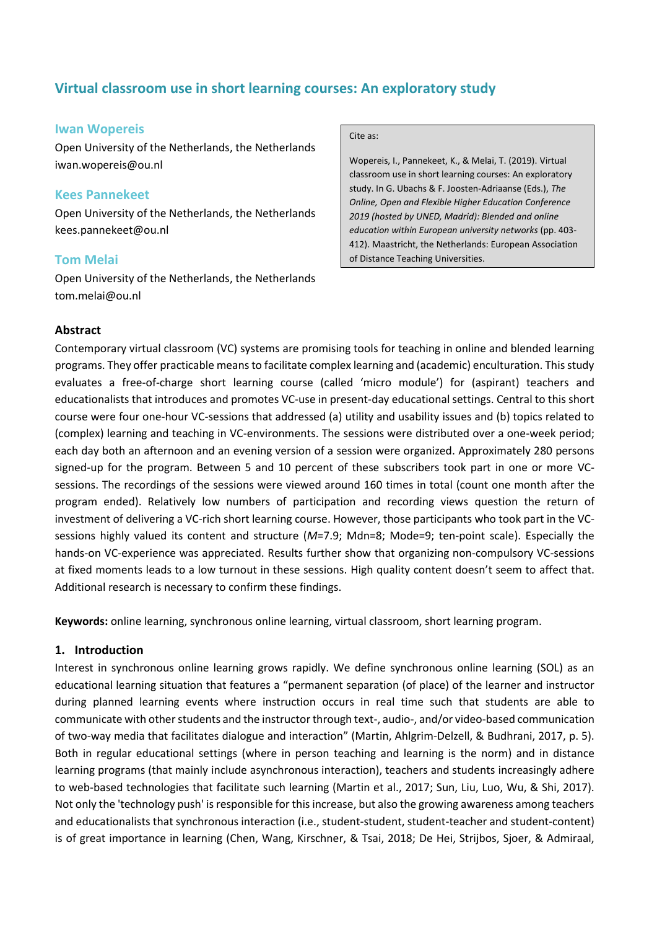# **Virtual classroom use in short learning courses: An exploratory study**

#### **Iwan Wopereis**

Open University of the Netherlands, the Netherlands iwan.wopereis@ou.nl

### **Kees Pannekeet**

Open University of the Netherlands, the Netherlands kees.pannekeet@ou.nl

### **Tom Melai**

Open University of the Netherlands, the Netherlands tom.melai@ou.nl

#### Cite as:

Wopereis, I., Pannekeet, K., & Melai, T. (2019). Virtual classroom use in short learning courses: An exploratory study. In G. Ubachs & F. Joosten-Adriaanse (Eds.), *The Online, Open and Flexible Higher Education Conference 2019 (hosted by UNED, Madrid): Blended and online education within European university networks* (pp. 403- 412). Maastricht, the Netherlands: European Association of Distance Teaching Universities.

### **Abstract**

Contemporary virtual classroom (VC) systems are promising tools for teaching in online and blended learning programs. They offer practicable means to facilitate complex learning and (academic) enculturation. This study evaluates a free-of-charge short learning course (called 'micro module') for (aspirant) teachers and educationalists that introduces and promotes VC-use in present-day educational settings. Central to this short course were four one-hour VC-sessions that addressed (a) utility and usability issues and (b) topics related to (complex) learning and teaching in VC-environments. The sessions were distributed over a one-week period; each day both an afternoon and an evening version of a session were organized. Approximately 280 persons signed-up for the program. Between 5 and 10 percent of these subscribers took part in one or more VCsessions. The recordings of the sessions were viewed around 160 times in total (count one month after the program ended). Relatively low numbers of participation and recording views question the return of investment of delivering a VC-rich short learning course. However, those participants who took part in the VCsessions highly valued its content and structure (*M*=7.9; Mdn=8; Mode=9; ten-point scale). Especially the hands-on VC-experience was appreciated. Results further show that organizing non-compulsory VC-sessions at fixed moments leads to a low turnout in these sessions. High quality content doesn't seem to affect that. Additional research is necessary to confirm these findings.

**Keywords:** online learning, synchronous online learning, virtual classroom, short learning program.

#### **1. Introduction**

Interest in synchronous online learning grows rapidly. We define synchronous online learning (SOL) as an educational learning situation that features a "permanent separation (of place) of the learner and instructor during planned learning events where instruction occurs in real time such that students are able to communicate with other students and the instructor through text-, audio-, and/or video-based communication of two-way media that facilitates dialogue and interaction" (Martin, Ahlgrim-Delzell, & Budhrani, 2017, p. 5). Both in regular educational settings (where in person teaching and learning is the norm) and in distance learning programs (that mainly include asynchronous interaction), teachers and students increasingly adhere to web-based technologies that facilitate such learning (Martin et al., 2017; Sun, Liu, Luo, Wu, & Shi, 2017). Not only the 'technology push' is responsible for this increase, but also the growing awareness among teachers and educationalists that synchronous interaction (i.e., student-student, student-teacher and student-content) is of great importance in learning (Chen, Wang, Kirschner, & Tsai, 2018; De Hei, Strijbos, Sjoer, & Admiraal,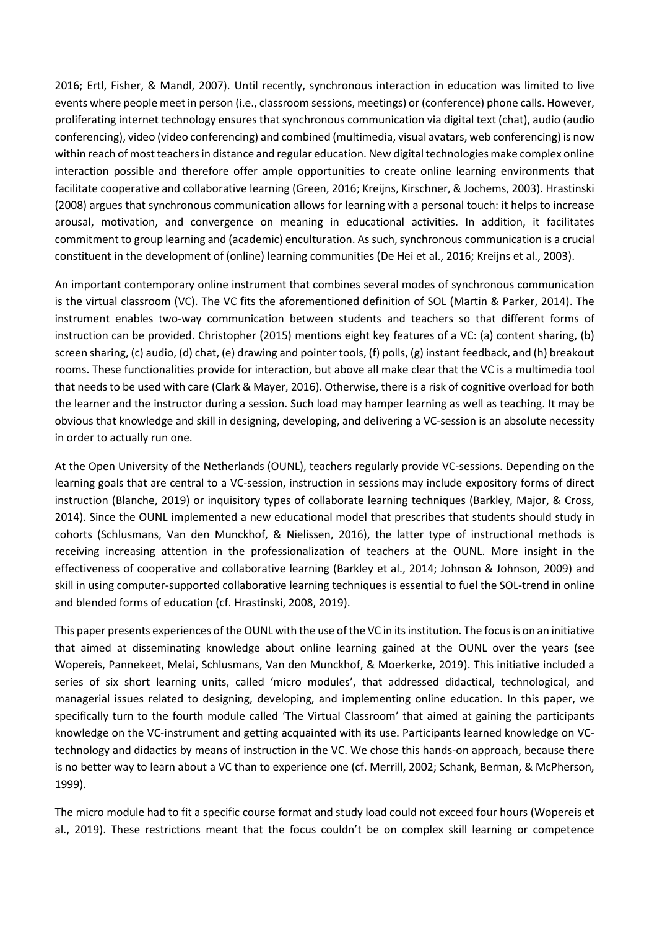2016; Ertl, Fisher, & Mandl, 2007). Until recently, synchronous interaction in education was limited to live events where people meet in person (i.e., classroom sessions, meetings) or (conference) phone calls. However, proliferating internet technology ensures that synchronous communication via digital text (chat), audio (audio conferencing), video (video conferencing) and combined (multimedia, visual avatars, web conferencing) is now within reach of most teachers in distance and regular education. New digital technologies make complex online interaction possible and therefore offer ample opportunities to create online learning environments that facilitate cooperative and collaborative learning (Green, 2016; Kreijns, Kirschner, & Jochems, 2003). Hrastinski (2008) argues that synchronous communication allows for learning with a personal touch: it helps to increase arousal, motivation, and convergence on meaning in educational activities. In addition, it facilitates commitment to group learning and (academic) enculturation. As such, synchronous communication is a crucial constituent in the development of (online) learning communities (De Hei et al., 2016; Kreijns et al., 2003).

An important contemporary online instrument that combines several modes of synchronous communication is the virtual classroom (VC). The VC fits the aforementioned definition of SOL (Martin & Parker, 2014). The instrument enables two-way communication between students and teachers so that different forms of instruction can be provided. Christopher (2015) mentions eight key features of a VC: (a) content sharing, (b) screen sharing, (c) audio, (d) chat, (e) drawing and pointer tools, (f) polls, (g) instant feedback, and (h) breakout rooms. These functionalities provide for interaction, but above all make clear that the VC is a multimedia tool that needs to be used with care (Clark & Mayer, 2016). Otherwise, there is a risk of cognitive overload for both the learner and the instructor during a session. Such load may hamper learning as well as teaching. It may be obvious that knowledge and skill in designing, developing, and delivering a VC-session is an absolute necessity in order to actually run one.

At the Open University of the Netherlands (OUNL), teachers regularly provide VC-sessions. Depending on the learning goals that are central to a VC-session, instruction in sessions may include expository forms of direct instruction (Blanche, 2019) or inquisitory types of collaborate learning techniques (Barkley, Major, & Cross, 2014). Since the OUNL implemented a new educational model that prescribes that students should study in cohorts (Schlusmans, Van den Munckhof, & Nielissen, 2016), the latter type of instructional methods is receiving increasing attention in the professionalization of teachers at the OUNL. More insight in the effectiveness of cooperative and collaborative learning (Barkley et al., 2014; Johnson & Johnson, 2009) and skill in using computer-supported collaborative learning techniques is essential to fuel the SOL-trend in online and blended forms of education (cf. Hrastinski, 2008, 2019).

This paper presents experiences of the OUNL with the use of the VC in its institution. The focus is on an initiative that aimed at disseminating knowledge about online learning gained at the OUNL over the years (see Wopereis, Pannekeet, Melai, Schlusmans, Van den Munckhof, & Moerkerke, 2019). This initiative included a series of six short learning units, called 'micro modules', that addressed didactical, technological, and managerial issues related to designing, developing, and implementing online education. In this paper, we specifically turn to the fourth module called 'The Virtual Classroom' that aimed at gaining the participants knowledge on the VC-instrument and getting acquainted with its use. Participants learned knowledge on VCtechnology and didactics by means of instruction in the VC. We chose this hands-on approach, because there is no better way to learn about a VC than to experience one (cf. Merrill, 2002; Schank, Berman, & McPherson, 1999).

The micro module had to fit a specific course format and study load could not exceed four hours (Wopereis et al., 2019). These restrictions meant that the focus couldn't be on complex skill learning or competence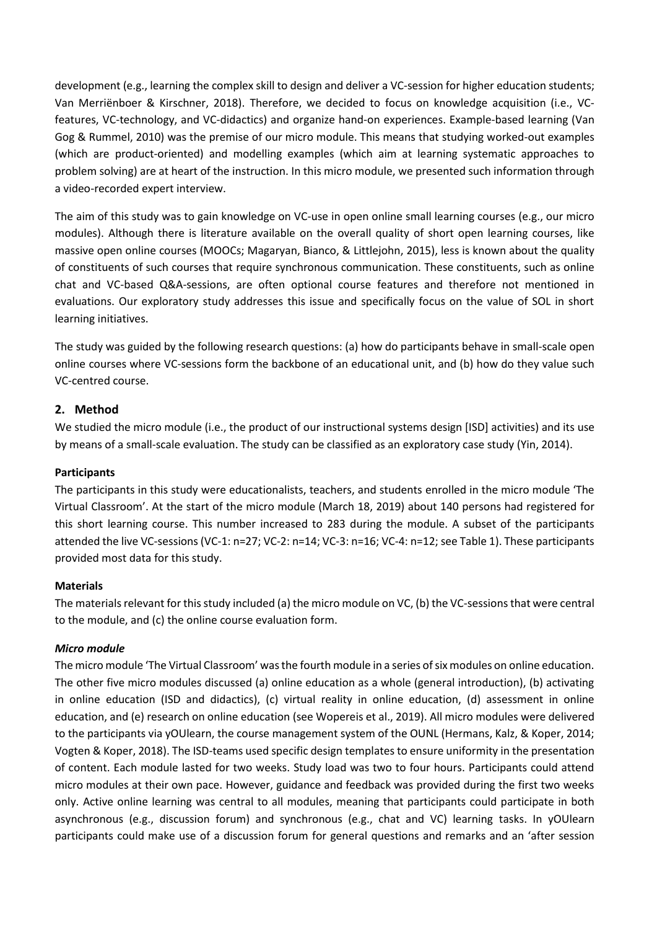development (e.g., learning the complex skill to design and deliver a VC-session for higher education students; Van Merriënboer & Kirschner, 2018). Therefore, we decided to focus on knowledge acquisition (i.e., VCfeatures, VC-technology, and VC-didactics) and organize hand-on experiences. Example-based learning (Van Gog & Rummel, 2010) was the premise of our micro module. This means that studying worked-out examples (which are product-oriented) and modelling examples (which aim at learning systematic approaches to problem solving) are at heart of the instruction. In this micro module, we presented such information through a video-recorded expert interview.

The aim of this study was to gain knowledge on VC-use in open online small learning courses (e.g., our micro modules). Although there is literature available on the overall quality of short open learning courses, like massive open online courses (MOOCs; Magaryan, Bianco, & Littlejohn, 2015), less is known about the quality of constituents of such courses that require synchronous communication. These constituents, such as online chat and VC-based Q&A-sessions, are often optional course features and therefore not mentioned in evaluations. Our exploratory study addresses this issue and specifically focus on the value of SOL in short learning initiatives.

The study was guided by the following research questions: (a) how do participants behave in small-scale open online courses where VC-sessions form the backbone of an educational unit, and (b) how do they value such VC-centred course.

### **2. Method**

We studied the micro module (i.e., the product of our instructional systems design [ISD] activities) and its use by means of a small-scale evaluation. The study can be classified as an exploratory case study (Yin, 2014).

#### **Participants**

The participants in this study were educationalists, teachers, and students enrolled in the micro module 'The Virtual Classroom'. At the start of the micro module (March 18, 2019) about 140 persons had registered for this short learning course. This number increased to 283 during the module. A subset of the participants attended the live VC-sessions (VC-1: n=27; VC-2: n=14; VC-3: n=16; VC-4: n=12; see Table 1). These participants provided most data for this study.

#### **Materials**

The materials relevant for this study included (a) the micro module on VC, (b) the VC-sessions that were central to the module, and (c) the online course evaluation form.

#### *Micro module*

The micro module 'The Virtual Classroom' was the fourth module in a series of six modules on online education. The other five micro modules discussed (a) online education as a whole (general introduction), (b) activating in online education (ISD and didactics), (c) virtual reality in online education, (d) assessment in online education, and (e) research on online education (see Wopereis et al., 2019). All micro modules were delivered to the participants via yOUlearn, the course management system of the OUNL (Hermans, Kalz, & Koper, 2014; Vogten & Koper, 2018). The ISD-teams used specific design templates to ensure uniformity in the presentation of content. Each module lasted for two weeks. Study load was two to four hours. Participants could attend micro modules at their own pace. However, guidance and feedback was provided during the first two weeks only. Active online learning was central to all modules, meaning that participants could participate in both asynchronous (e.g., discussion forum) and synchronous (e.g., chat and VC) learning tasks. In yOUlearn participants could make use of a discussion forum for general questions and remarks and an 'after session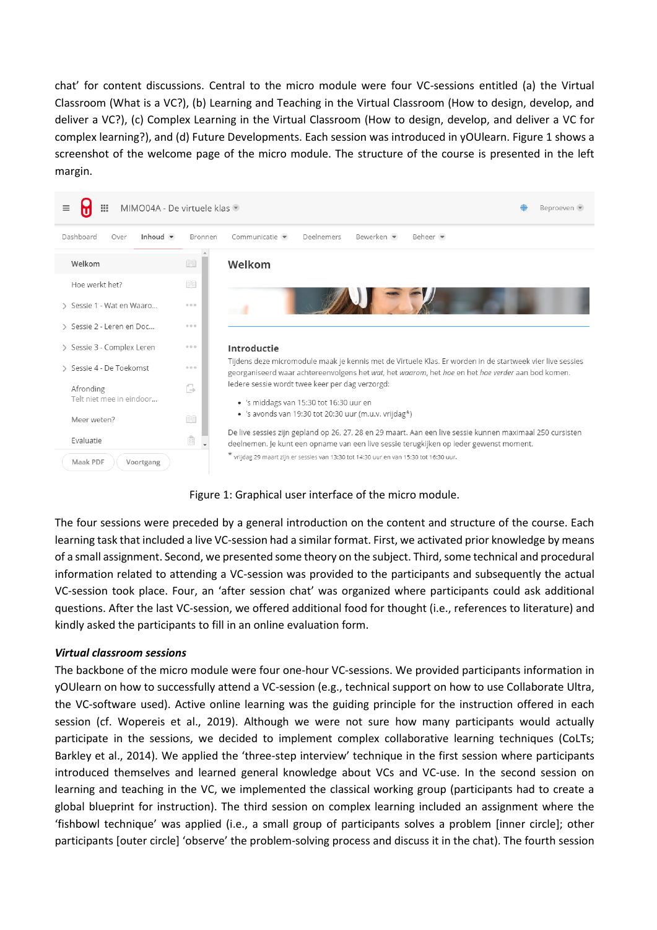chat' for content discussions. Central to the micro module were four VC-sessions entitled (a) the Virtual Classroom (What is a VC?), (b) Learning and Teaching in the Virtual Classroom (How to design, develop, and deliver a VC?), (c) Complex Learning in the Virtual Classroom (How to design, develop, and deliver a VC for complex learning?), and (d) Future Developments. Each session was introduced in yOUlearn. Figure 1 shows a screenshot of the welcome page of the micro module. The structure of the course is presented in the left margin.



Figure 1: Graphical user interface of the micro module.

The four sessions were preceded by a general introduction on the content and structure of the course. Each learning task that included a live VC-session had a similar format. First, we activated prior knowledge by means of a small assignment. Second, we presented some theory on the subject. Third, some technical and procedural information related to attending a VC-session was provided to the participants and subsequently the actual VC-session took place. Four, an 'after session chat' was organized where participants could ask additional questions. After the last VC-session, we offered additional food for thought (i.e., references to literature) and kindly asked the participants to fill in an online evaluation form.

#### *Virtual classroom sessions*

The backbone of the micro module were four one-hour VC-sessions. We provided participants information in yOUlearn on how to successfully attend a VC-session (e.g., technical support on how to use Collaborate Ultra, the VC-software used). Active online learning was the guiding principle for the instruction offered in each session (cf. Wopereis et al., 2019). Although we were not sure how many participants would actually participate in the sessions, we decided to implement complex collaborative learning techniques (CoLTs; Barkley et al., 2014). We applied the 'three-step interview' technique in the first session where participants introduced themselves and learned general knowledge about VCs and VC-use. In the second session on learning and teaching in the VC, we implemented the classical working group (participants had to create a global blueprint for instruction). The third session on complex learning included an assignment where the 'fishbowl technique' was applied (i.e., a small group of participants solves a problem [inner circle]; other participants [outer circle] 'observe' the problem-solving process and discuss it in the chat). The fourth session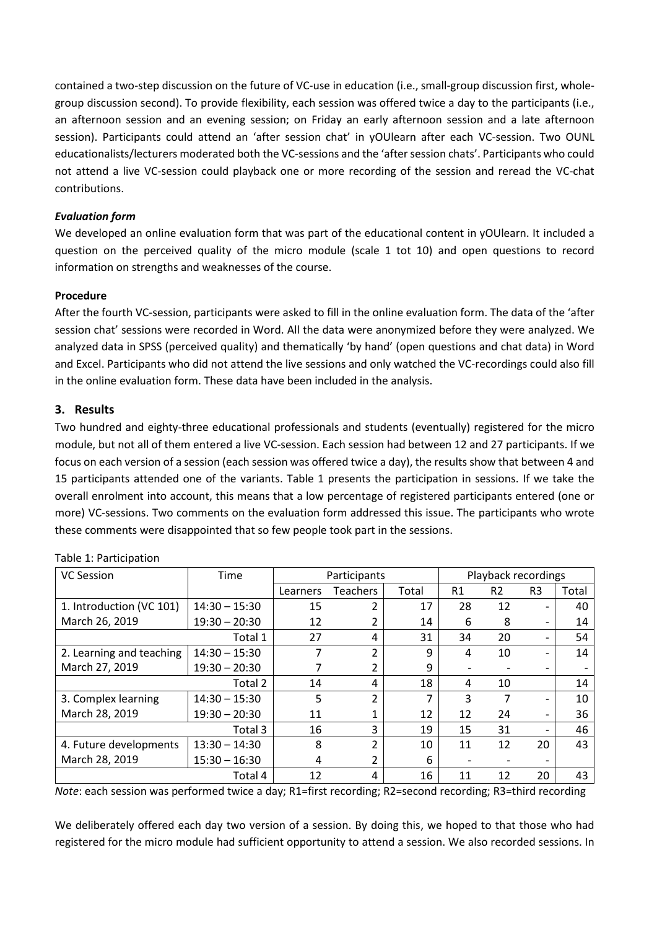contained a two-step discussion on the future of VC-use in education (i.e., small-group discussion first, wholegroup discussion second). To provide flexibility, each session was offered twice a day to the participants (i.e., an afternoon session and an evening session; on Friday an early afternoon session and a late afternoon session). Participants could attend an 'after session chat' in yOUlearn after each VC-session. Two OUNL educationalists/lecturers moderated both the VC-sessions and the 'after session chats'. Participants who could not attend a live VC-session could playback one or more recording of the session and reread the VC-chat contributions.

### *Evaluation form*

We developed an online evaluation form that was part of the educational content in yOUlearn. It included a question on the perceived quality of the micro module (scale 1 tot 10) and open questions to record information on strengths and weaknesses of the course.

### **Procedure**

After the fourth VC-session, participants were asked to fill in the online evaluation form. The data of the 'after session chat' sessions were recorded in Word. All the data were anonymized before they were analyzed. We analyzed data in SPSS (perceived quality) and thematically 'by hand' (open questions and chat data) in Word and Excel. Participants who did not attend the live sessions and only watched the VC-recordings could also fill in the online evaluation form. These data have been included in the analysis.

### **3. Results**

Two hundred and eighty-three educational professionals and students (eventually) registered for the micro module, but not all of them entered a live VC-session. Each session had between 12 and 27 participants. If we focus on each version of a session (each session was offered twice a day), the results show that between 4 and 15 participants attended one of the variants. Table 1 presents the participation in sessions. If we take the overall enrolment into account, this means that a low percentage of registered participants entered (one or more) VC-sessions. Two comments on the evaluation form addressed this issue. The participants who wrote these comments were disappointed that so few people took part in the sessions.

| <b>VC Session</b>        | Time            | Participants |                          |       | Playback recordings |                |                              |       |
|--------------------------|-----------------|--------------|--------------------------|-------|---------------------|----------------|------------------------------|-------|
|                          |                 | Learners     | <b>Teachers</b>          | Total | R <sub>1</sub>      | R <sub>2</sub> | R <sub>3</sub>               | Total |
| 1. Introduction (VC 101) | $14:30 - 15:30$ | 15           | $\overline{\mathcal{L}}$ | 17    | 28                  | 12             | $\overline{\phantom{0}}$     | 40    |
| March 26, 2019           | $19:30 - 20:30$ | 12           |                          | 14    | 6                   | 8              | $\overline{\phantom{0}}$     | 14    |
|                          | Total 1         | 27           | 4                        | 31    | 34                  | 20             | $\overline{\phantom{0}}$     | 54    |
| 2. Learning and teaching | $14:30 - 15:30$ | 7            | $\overline{\mathcal{L}}$ | 9     | 4                   | 10             | $\overline{\phantom{0}}$     | 14    |
| March 27, 2019           | $19:30 - 20:30$ |              | 2                        | 9     |                     |                | $\qquad \qquad \blacksquare$ |       |
|                          | Total 2         | 14           | 4                        | 18    | 4                   | 10             |                              | 14    |
| 3. Complex learning      | $14:30 - 15:30$ | 5            | $\overline{2}$           | 7     | 3                   |                | $\qquad \qquad \blacksquare$ | 10    |
| March 28, 2019           | $19:30 - 20:30$ | 11           | 1                        | 12    | 12                  | 24             | $\overline{\phantom{0}}$     | 36    |
|                          | Total 3         | 16           | 3                        | 19    | 15                  | 31             | $\overline{\phantom{0}}$     | 46    |
| 4. Future developments   | $13:30 - 14:30$ | 8            | $\overline{\mathcal{L}}$ | 10    | 11                  | 12             | 20                           | 43    |
| March 28, 2019           | $15:30 - 16:30$ | 4            | 2                        | 6     |                     |                | $\overline{\phantom{a}}$     |       |
|                          | Total 4         | 12           | 4                        | 16    | 11                  | 12             | 20                           | 43    |

Table 1: Participation

*Note*: each session was performed twice a day; R1=first recording; R2=second recording; R3=third recording

We deliberately offered each day two version of a session. By doing this, we hoped to that those who had registered for the micro module had sufficient opportunity to attend a session. We also recorded sessions. In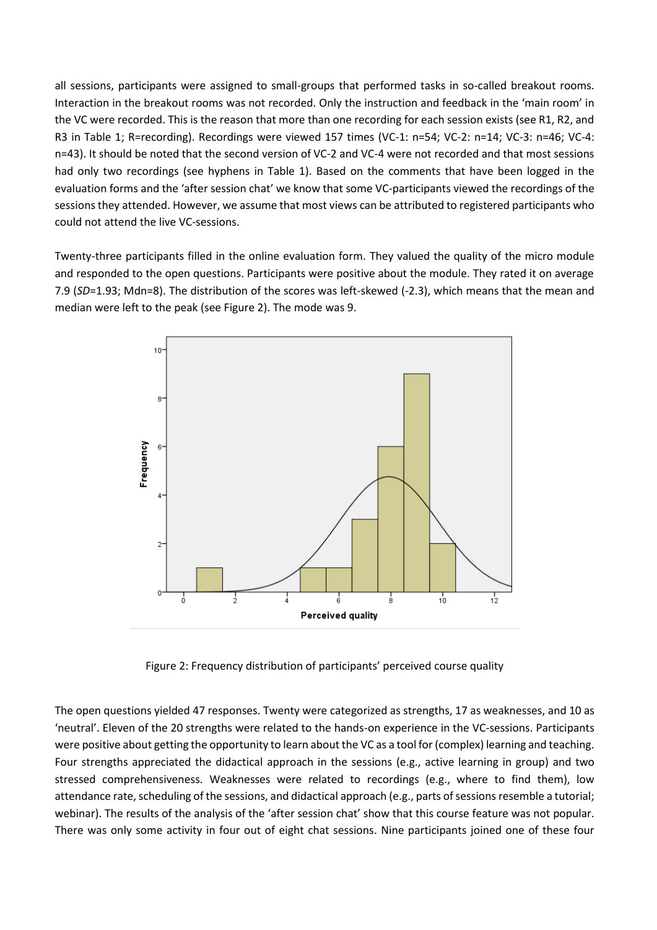all sessions, participants were assigned to small-groups that performed tasks in so-called breakout rooms. Interaction in the breakout rooms was not recorded. Only the instruction and feedback in the 'main room' in the VC were recorded. This is the reason that more than one recording for each session exists (see R1, R2, and R3 in Table 1; R=recording). Recordings were viewed 157 times (VC-1: n=54; VC-2: n=14; VC-3: n=46; VC-4: n=43). It should be noted that the second version of VC-2 and VC-4 were not recorded and that most sessions had only two recordings (see hyphens in Table 1). Based on the comments that have been logged in the evaluation forms and the 'after session chat' we know that some VC-participants viewed the recordings of the sessions they attended. However, we assume that most views can be attributed to registered participants who could not attend the live VC-sessions.

Twenty-three participants filled in the online evaluation form. They valued the quality of the micro module and responded to the open questions. Participants were positive about the module. They rated it on average 7.9 (*SD*=1.93; Mdn=8). The distribution of the scores was left-skewed (-2.3), which means that the mean and median were left to the peak (see Figure 2). The mode was 9.



Figure 2: Frequency distribution of participants' perceived course quality

The open questions yielded 47 responses. Twenty were categorized as strengths, 17 as weaknesses, and 10 as 'neutral'. Eleven of the 20 strengths were related to the hands-on experience in the VC-sessions. Participants were positive about getting the opportunity to learn about the VC as a tool for (complex) learning and teaching. Four strengths appreciated the didactical approach in the sessions (e.g., active learning in group) and two stressed comprehensiveness. Weaknesses were related to recordings (e.g., where to find them), low attendance rate, scheduling of the sessions, and didactical approach (e.g., parts of sessions resemble a tutorial; webinar). The results of the analysis of the 'after session chat' show that this course feature was not popular. There was only some activity in four out of eight chat sessions. Nine participants joined one of these four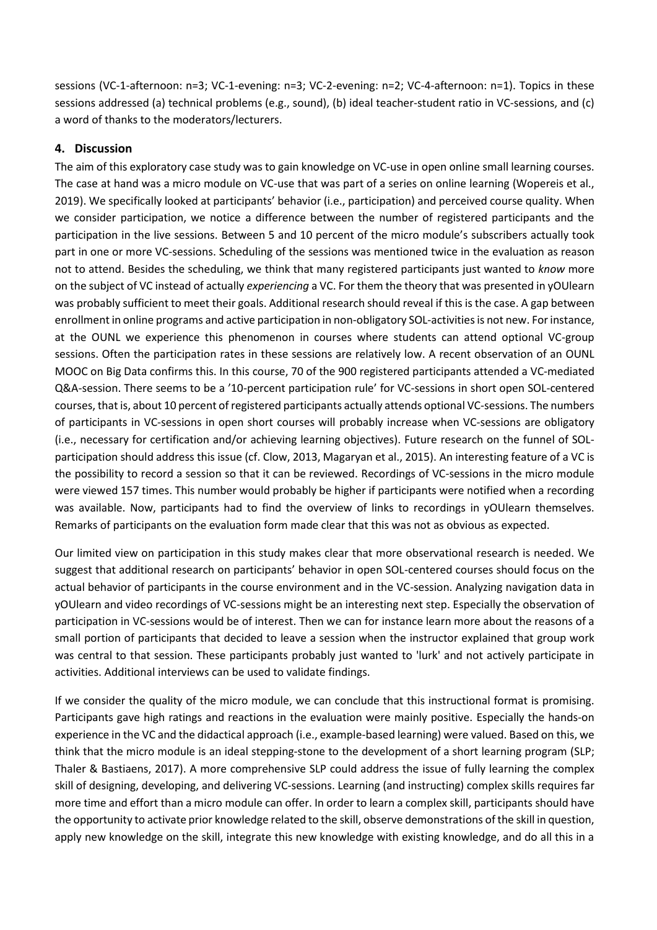sessions (VC-1-afternoon: n=3; VC-1-evening: n=3; VC-2-evening: n=2; VC-4-afternoon: n=1). Topics in these sessions addressed (a) technical problems (e.g., sound), (b) ideal teacher-student ratio in VC-sessions, and (c) a word of thanks to the moderators/lecturers.

## **4. Discussion**

The aim of this exploratory case study was to gain knowledge on VC-use in open online small learning courses. The case at hand was a micro module on VC-use that was part of a series on online learning (Wopereis et al., 2019). We specifically looked at participants' behavior (i.e., participation) and perceived course quality. When we consider participation, we notice a difference between the number of registered participants and the participation in the live sessions. Between 5 and 10 percent of the micro module's subscribers actually took part in one or more VC-sessions. Scheduling of the sessions was mentioned twice in the evaluation as reason not to attend. Besides the scheduling, we think that many registered participants just wanted to *know* more on the subject of VC instead of actually *experiencing* a VC. For them the theory that was presented in yOUlearn was probably sufficient to meet their goals. Additional research should reveal if this is the case. A gap between enrollment in online programs and active participation in non-obligatory SOL-activities is not new. For instance, at the OUNL we experience this phenomenon in courses where students can attend optional VC-group sessions. Often the participation rates in these sessions are relatively low. A recent observation of an OUNL MOOC on Big Data confirms this. In this course, 70 of the 900 registered participants attended a VC-mediated Q&A-session. There seems to be a '10-percent participation rule' for VC-sessions in short open SOL-centered courses, that is, about 10 percent of registered participants actually attends optional VC-sessions. The numbers of participants in VC-sessions in open short courses will probably increase when VC-sessions are obligatory (i.e., necessary for certification and/or achieving learning objectives). Future research on the funnel of SOLparticipation should address this issue (cf. Clow, 2013, Magaryan et al., 2015). An interesting feature of a VC is the possibility to record a session so that it can be reviewed. Recordings of VC-sessions in the micro module were viewed 157 times. This number would probably be higher if participants were notified when a recording was available. Now, participants had to find the overview of links to recordings in yOUlearn themselves. Remarks of participants on the evaluation form made clear that this was not as obvious as expected.

Our limited view on participation in this study makes clear that more observational research is needed. We suggest that additional research on participants' behavior in open SOL-centered courses should focus on the actual behavior of participants in the course environment and in the VC-session. Analyzing navigation data in yOUlearn and video recordings of VC-sessions might be an interesting next step. Especially the observation of participation in VC-sessions would be of interest. Then we can for instance learn more about the reasons of a small portion of participants that decided to leave a session when the instructor explained that group work was central to that session. These participants probably just wanted to 'lurk' and not actively participate in activities. Additional interviews can be used to validate findings.

If we consider the quality of the micro module, we can conclude that this instructional format is promising. Participants gave high ratings and reactions in the evaluation were mainly positive. Especially the hands-on experience in the VC and the didactical approach (i.e., example-based learning) were valued. Based on this, we think that the micro module is an ideal stepping-stone to the development of a short learning program (SLP; Thaler & Bastiaens, 2017). A more comprehensive SLP could address the issue of fully learning the complex skill of designing, developing, and delivering VC-sessions. Learning (and instructing) complex skills requires far more time and effort than a micro module can offer. In order to learn a complex skill, participants should have the opportunity to activate prior knowledge related to the skill, observe demonstrations of the skill in question, apply new knowledge on the skill, integrate this new knowledge with existing knowledge, and do all this in a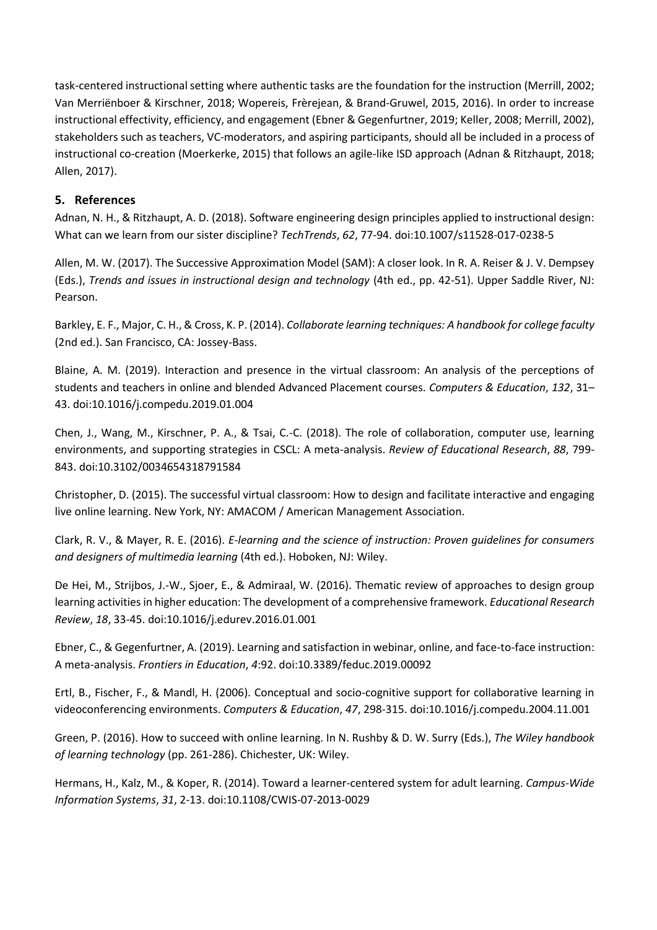task-centered instructional setting where authentic tasks are the foundation for the instruction (Merrill, 2002; Van Merriënboer & Kirschner, 2018; Wopereis, Frèrejean, & Brand-Gruwel, 2015, 2016). In order to increase instructional effectivity, efficiency, and engagement (Ebner & Gegenfurtner, 2019; Keller, 2008; Merrill, 2002), stakeholders such as teachers, VC-moderators, and aspiring participants, should all be included in a process of instructional co-creation (Moerkerke, 2015) that follows an agile-like ISD approach (Adnan & Ritzhaupt, 2018; Allen, 2017).

# **5. References**

Adnan, N. H., & Ritzhaupt, A. D. (2018). Software engineering design principles applied to instructional design: What can we learn from our sister discipline? *TechTrends*, *62*, 77-94. doi:10.1007/s11528-017-0238-5

Allen, M. W. (2017). The Successive Approximation Model (SAM): A closer look. In R. A. Reiser & J. V. Dempsey (Eds.), *Trends and issues in instructional design and technology* (4th ed., pp. 42-51). Upper Saddle River, NJ: Pearson.

Barkley, E. F., Major, C. H., & Cross, K. P. (2014). *Collaborate learning techniques: A handbook for college faculty* (2nd ed.). San Francisco, CA: Jossey-Bass.

Blaine, A. M. (2019). Interaction and presence in the virtual classroom: An analysis of the perceptions of students and teachers in online and blended Advanced Placement courses. *Computers & Education*, *132*, 31– 43. doi:10.1016/j.compedu.2019.01.004

Chen, J., Wang, M., Kirschner, P. A., & Tsai, C.-C. (2018). The role of collaboration, computer use, learning environments, and supporting strategies in CSCL: A meta-analysis. *Review of Educational Research*, *88*, 799- 843. doi:10.3102/0034654318791584

Christopher, D. (2015). The successful virtual classroom: How to design and facilitate interactive and engaging live online learning. New York, NY: AMACOM / American Management Association.

Clark, R. V., & Mayer, R. E. (2016). *E-learning and the science of instruction: Proven guidelines for consumers and designers of multimedia learning* (4th ed.). Hoboken, NJ: Wiley.

De Hei, M., Strijbos, J.-W., Sjoer, E., & Admiraal, W. (2016). Thematic review of approaches to design group learning activities in higher education: The development of a comprehensive framework. *Educational Research Review*, *18*, 33-45. doi:10.1016/j.edurev.2016.01.001

Ebner, C., & Gegenfurtner, A. (2019). Learning and satisfaction in webinar, online, and face-to-face instruction: A meta-analysis. *Frontiers in Education*, *4*:92. doi:10.3389/feduc.2019.00092

Ertl, B., Fischer, F., & Mandl, H. (2006). Conceptual and socio-cognitive support for collaborative learning in videoconferencing environments. *Computers & Education*, *47*, 298-315. doi:10.1016/j.compedu.2004.11.001

Green, P. (2016). How to succeed with online learning. In N. Rushby & D. W. Surry (Eds.), *The Wiley handbook of learning technology* (pp. 261-286). Chichester, UK: Wiley.

Hermans, H., Kalz, M., & Koper, R. (2014). Toward a learner-centered system for adult learning. *Campus-Wide Information Systems*, *31*, 2-13. doi:10.1108/CWIS-07-2013-0029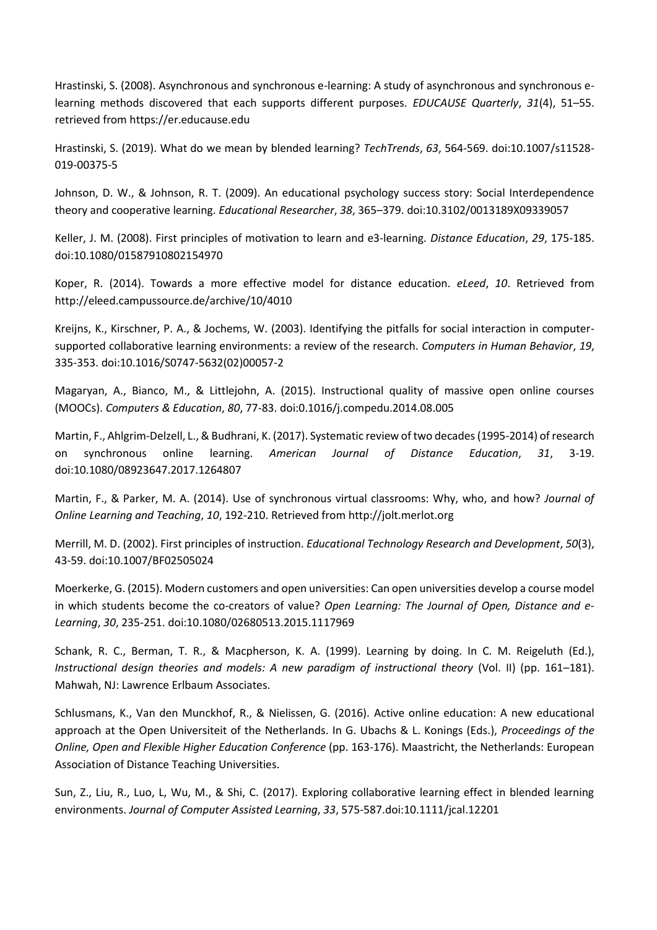Hrastinski, S. (2008). Asynchronous and synchronous e-learning: A study of asynchronous and synchronous elearning methods discovered that each supports different purposes. *EDUCAUSE Quarterly*, *31*(4), 51–55. retrieved from https://er.educause.edu

Hrastinski, S. (2019). What do we mean by blended learning? *TechTrends*, *63*, 564-569. doi:10.1007/s11528- 019-00375-5

Johnson, D. W., & Johnson, R. T. (2009). An educational psychology success story: Social Interdependence theory and cooperative learning. *Educational Researcher*, *38*, 365–379. doi:10.3102/0013189X09339057

Keller, J. M. (2008). First principles of motivation to learn and e3‐learning. *Distance Education*, *29*, 175-185. doi:10.1080/01587910802154970

Koper, R. (2014). Towards a more effective model for distance education. *eLeed*, *10*. Retrieved from <http://eleed.campussource.de/archive/10/4010>

Kreijns, K., Kirschner, P. A., & Jochems, W. (2003). Identifying the pitfalls for social interaction in computersupported collaborative learning environments: a review of the research. *Computers in Human Behavior*, *19*, 335-353. doi:10.1016/S0747-5632(02)00057-2

Magaryan, A., Bianco, M., & Littlejohn, A. (2015). Instructional quality of massive open online courses (MOOCs). *Computers & Education*, *80*, 77-83. doi:0.1016/j.compedu.2014.08.005

Martin, F., Ahlgrim-Delzell, L., & Budhrani, K. (2017). Systematic review of two decades (1995-2014) of research on synchronous online learning. *American Journal of Distance Education*, *31*, 3-19. doi:10.1080/08923647.2017.1264807

Martin, F., & Parker, M. A. (2014). Use of synchronous virtual classrooms: Why, who, and how? *Journal of Online Learning and Teaching*, *10*, 192-210. Retrieved from http://jolt.merlot.org

Merrill, M. D. (2002). First principles of instruction. *Educational Technology Research and Development*, *50*(3), 43-59. doi:10.1007/BF02505024

Moerkerke, G. (2015). Modern customers and open universities: Can open universities develop a course model in which students become the co-creators of value? *Open Learning: The Journal of Open, Distance and e-Learning*, *30*, 235-251. doi:10.1080/02680513.2015.1117969

Schank, R. C., Berman, T. R., & Macpherson, K. A. (1999). Learning by doing. In C. M. Reigeluth (Ed.), *Instructional design theories and models: A new paradigm of instructional theory* (Vol. II) (pp. 161–181). Mahwah, NJ: Lawrence Erlbaum Associates.

Schlusmans, K., Van den Munckhof, R., & Nielissen, G. (2016). Active online education: A new educational approach at the Open Universiteit of the Netherlands. In G. Ubachs & L. Konings (Eds.), *Proceedings of the Online, Open and Flexible Higher Education Conference* (pp. 163-176). Maastricht, the Netherlands: European Association of Distance Teaching Universities.

Sun, Z., Liu, R., Luo, L, Wu, M., & Shi, C. (2017). Exploring collaborative learning effect in blended learning environments. *Journal of Computer Assisted Learning*, *33*, 575-587.doi:10.1111/jcal.12201